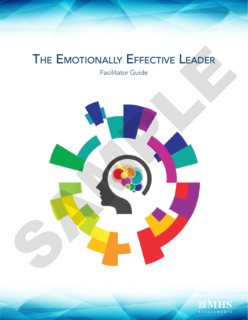# THE EMOTIONALLY EFFECTIVE LEADER

Facilitator Guide



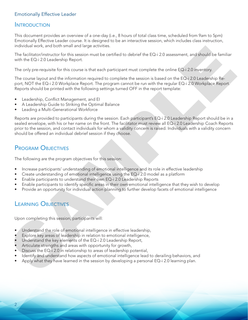### Emotionally Effective Leader

### **INTRODUCTION**

This document provides an overview of a one-day (i.e., 8 hours of total class time, scheduled from 9am to 5pm) Emotionally Effective Leader course. It is designed to be an interactive session, which includes class instruction, individual work, and both small and large activities.

The facilitator/instructor for this session must be certified to debrief the EQ-i 2.0 assessment, and should be familiar with the EQ-i 2.0 Leadership Report.

The only pre-requisite for this course is that each participant must complete the online EQ-i 2.0 inventory.

The course layout and the information required to complete the session is based on the EQ-i 2.0 Leadership Report, NOT the EQ-i 2.0 Workplace Report. The program cannot be run with the regular EQ-i 2.0 Workplace Report. Reports should be printed with the following settings turned OFF in the report template:

- Leadership, Conflict Management, and EI
- A Leadership Guide to Striking the Optimal Balance
- Leading a Multi-Generational Workforce

Reports are provided to participants during the session. Each participant's EQ-i 2.0 Leadership Report should be in a sealed envelope, with his or her name on the front. The facilitator must review all EQ-i 2.0 Leadership Coach Reports prior to the session, and contact individuals for whom a validity concern is raised. Individuals with a validity concern should be offered an individual debrief session if they choose. manulations are bosts and large activites.<br>
The fact is activated for this assistant must be certified to determine templets that annihilations and smalled be the fact of the information requires to complete the estation

## Program Objectives

The following are the program objectives for this session:

- Increase participants' understanding of emotional intelligence and its role in effective leadership
- Create understanding of emotional intelligence using the EQ-i 2.0 model as a platform
- Enable participants to understand their own EQ-i 2.0 Leadership Reports
- Enable participants to identify specific areas in their own emotional intelligence that they wish to develop
- Provide an opportunity for individual action planning to further develop facets of emotional intelligence

## Learning Objectives

Upon completing this session, participants will:

- Understand the role of emotional intelligence in effective leadership,
- Explore key areas of leadership in relation to emotional intelligence,
- Understand the key elements of the EQ-i 2.0 Leadership Report,
- Articulate strengths and areas with opportunity for growth,
- Discuss the EQ-i 2.0 in relationship to areas of leadership potential,
- Identify and understand how aspects of emotional intelligence lead to derailing behaviors, and
- Apply what they have learned in the session by developing a personal EQ-i 2.0 learning plan.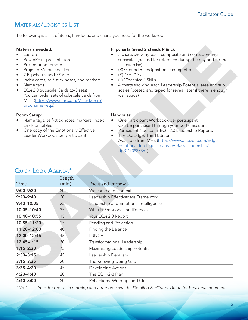# Materials/Logistics List

The following is a list of items, handouts, and charts you need for the workshop.

| <b>Materials needed:</b><br>Laptop<br>PowerPoint presentation<br>$\bullet$<br>Presentation remote<br>$\bullet$<br>Projector/Audio speaker<br>٠<br>2 Flipchart stands/Paper<br>$\bullet$<br>Index cards, self-stick notes, and markers<br>$\bullet$<br>Name tags<br>$\bullet$<br>EQ-i 2.0 Subscale Cards (2-3 sets)<br>You can order sets of subscale cards from<br>MHS (https://www.mhs.com/MHS-Talent?<br>prodname=eq2). |             |                                     | Flipcharts (need 2 stands R & L):<br>5 charts showing each composite and corresponding<br>subscales (posted for reference during the day and for the<br>last exercise)<br>(R) Ground Rules (post once complete)<br>$\bullet$<br>(R) "Soft" Skills<br>$\bullet$<br>(L) "Technical" Skills<br>$\bullet$<br>4 charts showing each Leadership Potential area and sub<br>$\bullet$<br>scales (posted and taped for reveal later if there is enough<br>wall space) |  |
|---------------------------------------------------------------------------------------------------------------------------------------------------------------------------------------------------------------------------------------------------------------------------------------------------------------------------------------------------------------------------------------------------------------------------|-------------|-------------------------------------|--------------------------------------------------------------------------------------------------------------------------------------------------------------------------------------------------------------------------------------------------------------------------------------------------------------------------------------------------------------------------------------------------------------------------------------------------------------|--|
| <b>Room Setup:</b>                                                                                                                                                                                                                                                                                                                                                                                                        |             |                                     | Handouts:                                                                                                                                                                                                                                                                                                                                                                                                                                                    |  |
| Name tags, self-stick notes, markers, index                                                                                                                                                                                                                                                                                                                                                                               |             |                                     | One Participant Workbook per participant:<br>$\bullet$                                                                                                                                                                                                                                                                                                                                                                                                       |  |
| cards on tables<br>One copy of the Emotionally Effective<br>Leader Workbook per participant                                                                                                                                                                                                                                                                                                                               |             |                                     | Can be purchased through your portal account<br>Participants' personal EQ-i 2.0 Leadership Reports<br>$\bullet$                                                                                                                                                                                                                                                                                                                                              |  |
|                                                                                                                                                                                                                                                                                                                                                                                                                           |             |                                     | The EQ Edge: Third Edition<br>$\bullet$                                                                                                                                                                                                                                                                                                                                                                                                                      |  |
|                                                                                                                                                                                                                                                                                                                                                                                                                           |             |                                     | Available from MHS (https://www.amazon.com/Edge-                                                                                                                                                                                                                                                                                                                                                                                                             |  |
|                                                                                                                                                                                                                                                                                                                                                                                                                           |             |                                     | Emotional-Intelligence-Jossey-Bass-Leadership/                                                                                                                                                                                                                                                                                                                                                                                                               |  |
|                                                                                                                                                                                                                                                                                                                                                                                                                           |             |                                     | dp/0470838361).                                                                                                                                                                                                                                                                                                                                                                                                                                              |  |
| <b>QUICK LOOK AGENDA*</b><br>Time                                                                                                                                                                                                                                                                                                                                                                                         | Length      |                                     |                                                                                                                                                                                                                                                                                                                                                                                                                                                              |  |
| $9:00 - 9:20$                                                                                                                                                                                                                                                                                                                                                                                                             | (min)<br>20 | Focus and Purpose                   |                                                                                                                                                                                                                                                                                                                                                                                                                                                              |  |
| $9:20 - 9:40$                                                                                                                                                                                                                                                                                                                                                                                                             | 20          |                                     | Welcome and Context                                                                                                                                                                                                                                                                                                                                                                                                                                          |  |
| $9:40 - 10:05$                                                                                                                                                                                                                                                                                                                                                                                                            |             |                                     | Leadership Effectiveness Framework                                                                                                                                                                                                                                                                                                                                                                                                                           |  |
| 10:05-10:40                                                                                                                                                                                                                                                                                                                                                                                                               |             |                                     |                                                                                                                                                                                                                                                                                                                                                                                                                                                              |  |
| 10:40-10:55                                                                                                                                                                                                                                                                                                                                                                                                               | 25          |                                     | Leadership and Emotional Intelligence                                                                                                                                                                                                                                                                                                                                                                                                                        |  |
|                                                                                                                                                                                                                                                                                                                                                                                                                           | 35          |                                     | What is Emotional Intelligence?                                                                                                                                                                                                                                                                                                                                                                                                                              |  |
|                                                                                                                                                                                                                                                                                                                                                                                                                           | 15          | Your EQ-i 2.0 Report                |                                                                                                                                                                                                                                                                                                                                                                                                                                                              |  |
| 10:55-11:20                                                                                                                                                                                                                                                                                                                                                                                                               | 25          |                                     | Reading and Reflection                                                                                                                                                                                                                                                                                                                                                                                                                                       |  |
| 11:20-12:00<br>12:00-12:45                                                                                                                                                                                                                                                                                                                                                                                                | 40<br>45    | Finding the Balance<br><b>LUNCH</b> |                                                                                                                                                                                                                                                                                                                                                                                                                                                              |  |
| $12:45 - 1:15$                                                                                                                                                                                                                                                                                                                                                                                                            | 30          |                                     | Transformational Leadership                                                                                                                                                                                                                                                                                                                                                                                                                                  |  |
| $1:15 - 2:30$                                                                                                                                                                                                                                                                                                                                                                                                             | 75          |                                     |                                                                                                                                                                                                                                                                                                                                                                                                                                                              |  |
| $2:30 - 3:15$                                                                                                                                                                                                                                                                                                                                                                                                             | 45          | Leadership Derailers                | Maximizing Leadership Potential                                                                                                                                                                                                                                                                                                                                                                                                                              |  |
| $3:15 - 3:35$                                                                                                                                                                                                                                                                                                                                                                                                             | 20          |                                     | The Knowing-Doing Gap                                                                                                                                                                                                                                                                                                                                                                                                                                        |  |
| $3:35 - 4:20$                                                                                                                                                                                                                                                                                                                                                                                                             | 45          | Developing Actions                  |                                                                                                                                                                                                                                                                                                                                                                                                                                                              |  |

# QUICK LOOK AGENDA<sup>\*</sup>

|                | Length |                                       |  |  |
|----------------|--------|---------------------------------------|--|--|
| Time           | (min)  | Focus and Purpose                     |  |  |
| $9:00 - 9:20$  | 20     | Welcome and Context                   |  |  |
| $9:20 - 9:40$  | 20     | Leadership Effectiveness Framework    |  |  |
| 9:40-10:05     | 25     | Leadership and Emotional Intelligence |  |  |
| 10:05-10:40    | 35     | What is Emotional Intelligence?       |  |  |
| 10:40-10:55    | 15     | Your EQ-i 2.0 Report                  |  |  |
| 10:55-11:20    | 25     | Reading and Reflection                |  |  |
| 11:20-12:00    | 40     | Finding the Balance                   |  |  |
| 12:00-12:45    | 45     | <b>LUNCH</b>                          |  |  |
| $12:45 - 1:15$ | 30     | Transformational Leadership           |  |  |
| $1:15 - 2:30$  | 75     | Maximizing Leadership Potential       |  |  |
| $2:30 - 3:15$  | 45     | Leadership Derailers                  |  |  |
| $3:15 - 3:35$  | 20     | The Knowing-Doing Gap                 |  |  |
| $3:35 - 4:20$  | 45     | <b>Developing Actions</b>             |  |  |
| 4:20-4:40      | 20     | The EQ 1-2-3 Plan                     |  |  |
| 4:40-5:00      | 20     | Reflections, Wrap-up, and Close       |  |  |

*\*No "set" times for breaks in morning and afternoon; see the Detailed Facilitator Guide for break management.*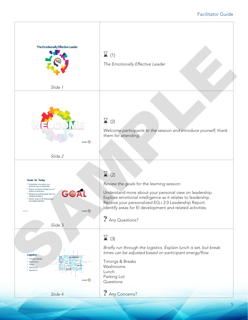#### Facilitator Guide